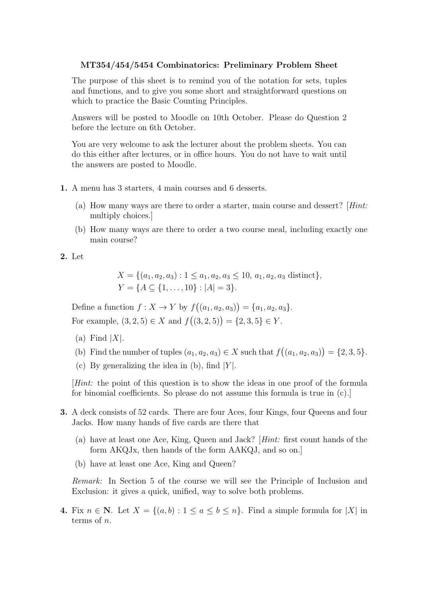## MT354/454/5454 Combinatorics: Preliminary Problem Sheet

The purpose of this sheet is to remind you of the notation for sets, tuples and functions, and to give you some short and straightforward questions on which to practice the Basic Counting Principles.

Answers will be posted to Moodle on 10th October. Please do Question 2 before the lecture on 6th October.

You are very welcome to ask the lecturer about the problem sheets. You can do this either after lectures, or in office hours. You do not have to wait until the answers are posted to Moodle.

- 1. A menu has 3 starters, 4 main courses and 6 desserts.
	- (a) How many ways are there to order a starter, main course and dessert? [Hint: multiply choices.]
	- (b) How many ways are there to order a two course meal, including exactly one main course?
- 2. Let

 $X = \{(a_1, a_2, a_3) : 1 \le a_1, a_2, a_3 \le 10, a_1, a_2, a_3 \text{ distinct}\},\$  $Y = \{A \subseteq \{1, \ldots, 10\} : |A| = 3\}.$ 

Define a function  $f: X \to Y$  by  $f((a_1, a_2, a_3)) = \{a_1, a_2, a_3\}.$ For example,  $(3, 2, 5) \in X$  and  $f((3, 2, 5)) = \{2, 3, 5\} \in Y$ .

- (a) Find  $|X|$ .
- (b) Find the number of tuples  $(a_1, a_2, a_3) \in X$  such that  $f((a_1, a_2, a_3)) = \{2, 3, 5\}.$
- (c) By generalizing the idea in  $(b)$ , find  $|Y|$ .

[Hint: the point of this question is to show the ideas in one proof of the formula for binomial coefficients. So please do not assume this formula is true in (c).]

- 3. A deck consists of 52 cards. There are four Aces, four Kings, four Queens and four Jacks. How many hands of five cards are there that
	- (a) have at least one Ace, King, Queen and Jack? [Hint: first count hands of the form AKQJx, then hands of the form AAKQJ, and so on.]
	- (b) have at least one Ace, King and Queen?

Remark: In Section 5 of the course we will see the Principle of Inclusion and Exclusion: it gives a quick, unified, way to solve both problems.

4. Fix  $n \in \mathbb{N}$ . Let  $X = \{(a, b) : 1 \le a \le b \le n\}$ . Find a simple formula for |X| in terms of  $n$ .